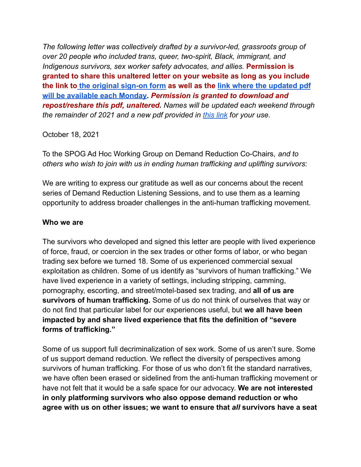*The following letter was collectively drafted by a survivor-led, grassroots group of over 20 people who included trans, queer, two-spirit, Black, immigrant, and Indigenous survivors, sex worker safety advocates, and allies.* **Permission is granted to share this unaltered letter on your website as long as you include the link to the [original](https://forms.gle/RghNpZHAuD7JTc6c9) sign-on form as well as the link where the [updated](https://bit.ly/3G6h94v) pdf will be [available](https://bit.ly/3G6h94v) each Monday.** *Permission is granted to download and repost/reshare this pdf, unaltered. Names will be updated each weekend through the remainder of 2021 and a new pdf provided in [this](https://bit.ly/3G6h94v) link for your use.*

#### October 18, 2021

To the SPOG Ad Hoc Working Group on Demand Reduction Co-Chairs, *and to others who wish to join with us in ending human trafficking and uplifting survivors*:

We are writing to express our gratitude as well as our concerns about the recent series of Demand Reduction Listening Sessions, and to use them as a learning opportunity to address broader challenges in the anti-human trafficking movement.

#### **Who we are**

The survivors who developed and signed this letter are people with lived experience of force, fraud, or coercion in the sex trades or other forms of labor, or who began trading sex before we turned 18. Some of us experienced commercial sexual exploitation as children. Some of us identify as "survivors of human trafficking." We have lived experience in a variety of settings, including stripping, camming, pornography, escorting, and street/motel-based sex trading, and **all of us are survivors of human trafficking.** Some of us do not think of ourselves that way or do not find that particular label for our experiences useful, but **we all have been impacted by and share lived experience that fits the definition of "severe forms of trafficking."**

Some of us support full decriminalization of sex work. Some of us aren't sure. Some of us support demand reduction. We reflect the diversity of perspectives among survivors of human trafficking. For those of us who don't fit the standard narratives, we have often been erased or sidelined from the anti-human trafficking movement or have not felt that it would be a safe space for our advocacy. **We are not interested in only platforming survivors who also oppose demand reduction or who agree with us on other issues; we want to ensure that** *all* **survivors have a seat**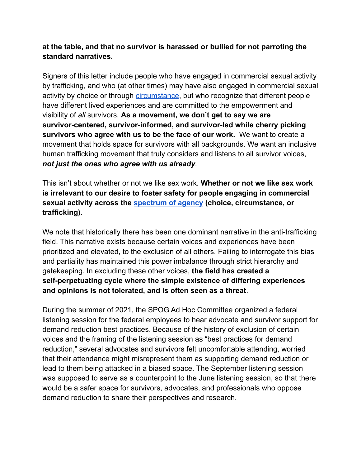# **at the table, and that no survivor is harassed or bullied for not parroting the standard narratives.**

Signers of this letter include people who have engaged in commercial sexual activity by trafficking, and who (at other times) may have also engaged in commercial sexual activity by choice or through *circumstance*, but who recognize that different people have different lived experiences and are committed to the empowerment and visibility of *all* survivors. **As a movement, we don't get to say we are survivor-centered, survivor-informed, and survivor-led while cherry picking survivors who agree with us to be the face of our work.** We want to create a movement that holds space for survivors with all backgrounds. We want an inclusive human trafficking movement that truly considers and listens to all survivor voices, *not just the ones who agree with us already*.

This isn't about whether or not we like sex work. **Whether or not we like sex work is irrelevant to our desire to foster safety for people engaging in commercial sexual activity across the [spectrum](https://journals.sagepub.com/doi/full/10.1177/13558196211034898) of agency (choice, circumstance, or trafficking)**.

We note that historically there has been one dominant narrative in the anti-trafficking field. This narrative exists because certain voices and experiences have been prioritized and elevated, to the exclusion of all others. Failing to interrogate this bias and partiality has maintained this power imbalance through strict hierarchy and gatekeeping. In excluding these other voices, **the field has created a self-perpetuating cycle where the simple existence of differing experiences and opinions is not tolerated, and is often seen as a threat**.

During the summer of 2021, the SPOG Ad Hoc Committee organized a federal listening session for the federal employees to hear advocate and survivor support for demand reduction best practices. Because of the history of exclusion of certain voices and the framing of the listening session as "best practices for demand reduction," several advocates and survivors felt uncomfortable attending, worried that their attendance might misrepresent them as supporting demand reduction or lead to them being attacked in a biased space. The September listening session was supposed to serve as a counterpoint to the June listening session, so that there would be a safer space for survivors, advocates, and professionals who oppose demand reduction to share their perspectives and research.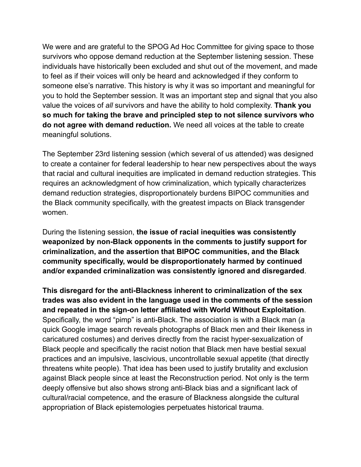We were and are grateful to the SPOG Ad Hoc Committee for giving space to those survivors who oppose demand reduction at the September listening session. These individuals have historically been excluded and shut out of the movement, and made to feel as if their voices will only be heard and acknowledged if they conform to someone else's narrative. This history is why it was so important and meaningful for you to hold the September session. It was an important step and signal that you also value the voices of *all* survivors and have the ability to hold complexity. **Thank you so much for taking the brave and principled step to not silence survivors who do not agree with demand reduction.** We need all voices at the table to create meaningful solutions.

The September 23rd listening session (which several of us attended) was designed to create a container for federal leadership to hear new perspectives about the ways that racial and cultural inequities are implicated in demand reduction strategies. This requires an acknowledgment of how criminalization, which typically characterizes demand reduction strategies, disproportionately burdens BIPOC communities and the Black community specifically, with the greatest impacts on Black transgender women.

During the listening session, **the issue of racial inequities was consistently weaponized by non-Black opponents in the comments to justify support for criminalization, and the assertion that BIPOC communities, and the Black community specifically, would be disproportionately harmed by continued and/or expanded criminalization was consistently ignored and disregarded**.

**This disregard for the anti-Blackness inherent to criminalization of the sex trades was also evident in the language used in the comments of the session and repeated in the sign-on letter affiliated with World Without Exploitation**. Specifically, the word "pimp" is anti-Black. The association is with a Black man (a quick Google image search reveals photographs of Black men and their likeness in caricatured costumes) and derives directly from the racist hyper-sexualization of Black people and specifically the racist notion that Black men have bestial sexual practices and an impulsive, lascivious, uncontrollable sexual appetite (that directly threatens white people). That idea has been used to justify brutality and exclusion against Black people since at least the Reconstruction period. Not only is the term deeply offensive but also shows strong anti-Black bias and a significant lack of cultural/racial competence, and the erasure of Blackness alongside the cultural appropriation of Black epistemologies perpetuates historical trauma.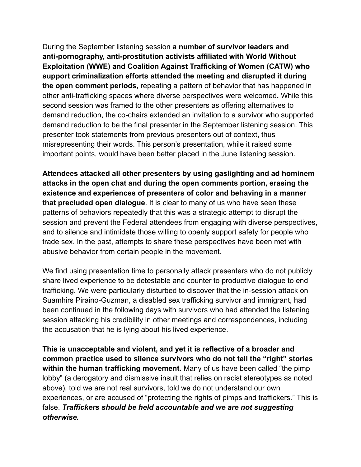During the September listening session **a number of survivor leaders and anti-pornography, anti-prostitution activists affiliated with World Without Exploitation (WWE) and Coalition Against Trafficking of Women (CATW) who support criminalization efforts attended the meeting and disrupted it during the open comment periods,** repeating a pattern of behavior that has happened in other anti-trafficking spaces where diverse perspectives were welcomed**.** While this second session was framed to the other presenters as offering alternatives to demand reduction, the co-chairs extended an invitation to a survivor who supported demand reduction to be the final presenter in the September listening session. This presenter took statements from previous presenters out of context, thus misrepresenting their words. This person's presentation, while it raised some important points, would have been better placed in the June listening session.

**Attendees attacked all other presenters by using gaslighting and ad hominem attacks in the open chat and during the open comments portion, erasing the existence and experiences of presenters of color and behaving in a manner that precluded open dialogue**. It is clear to many of us who have seen these patterns of behaviors repeatedly that this was a strategic attempt to disrupt the session and prevent the Federal attendees from engaging with diverse perspectives, and to silence and intimidate those willing to openly support safety for people who trade sex. In the past, attempts to share these perspectives have been met with abusive behavior from certain people in the movement.

We find using presentation time to personally attack presenters who do not publicly share lived experience to be detestable and counter to productive dialogue to end trafficking. We were particularly disturbed to discover that the in-session attack on Suamhirs Piraino-Guzman, a disabled sex trafficking survivor and immigrant, had been continued in the following days with survivors who had attended the listening session attacking his credibility in other meetings and correspondences, including the accusation that he is lying about his lived experience.

**This is unacceptable and violent, and yet it is reflective of a broader and common practice used to silence survivors who do not tell the "right" stories within the human trafficking movement.** Many of us have been called "the pimp lobby" (a derogatory and dismissive insult that relies on racist stereotypes as noted above), told we are not real survivors, told we do not understand our own experiences, or are accused of "protecting the rights of pimps and traffickers." This is false. *Traffickers should be held accountable and we are not suggesting otherwise.*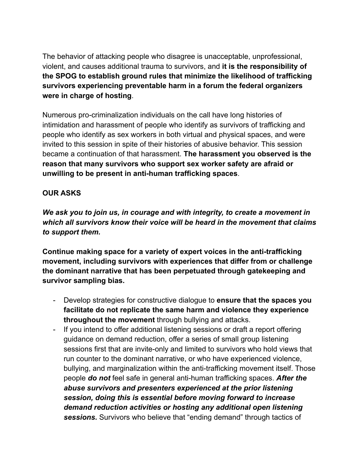The behavior of attacking people who disagree is unacceptable, unprofessional, violent, and causes additional trauma to survivors, and **it is the responsibility of the SPOG to establish ground rules that minimize the likelihood of trafficking survivors experiencing preventable harm in a forum the federal organizers were in charge of hosting**.

Numerous pro-criminalization individuals on the call have long histories of intimidation and harassment of people who identify as survivors of trafficking and people who identify as sex workers in both virtual and physical spaces, and were invited to this session in spite of their histories of abusive behavior. This session became a continuation of that harassment. **The harassment you observed is the reason that many survivors who support sex worker safety are afraid or unwilling to be present in anti-human trafficking spaces**.

### **OUR ASKS**

*We ask you to join us, in courage and with integrity, to create a movement in which all survivors know their voice will be heard in the movement that claims to support them.*

**Continue making space for a variety of expert voices in the anti-trafficking movement, including survivors with experiences that differ from or challenge the dominant narrative that has been perpetuated through gatekeeping and survivor sampling bias.**

- Develop strategies for constructive dialogue to **ensure that the spaces you facilitate do not replicate the same harm and violence they experience throughout the movement** through bullying and attacks.
- If you intend to offer additional listening sessions or draft a report offering guidance on demand reduction, offer a series of small group listening sessions first that are invite-only and limited to survivors who hold views that run counter to the dominant narrative, or who have experienced violence, bullying, and marginalization within the anti-trafficking movement itself. Those people *do not* feel safe in general anti-human trafficking spaces. *After the abuse survivors and presenters experienced at the prior listening session, doing this is essential before moving forward to increase demand reduction activities or hosting any additional open listening sessions.* Survivors who believe that "ending demand" through tactics of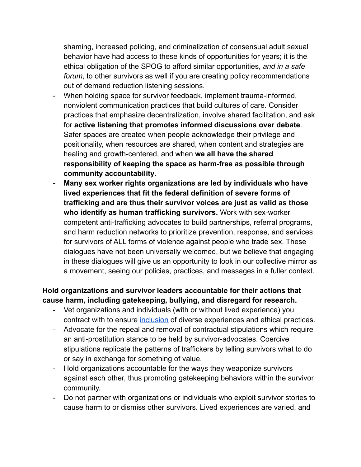shaming, increased policing, and criminalization of consensual adult sexual behavior have had access to these kinds of opportunities for years; it is the ethical obligation of the SPOG to afford similar opportunities, *and in a safe forum*, to other survivors as well if you are creating policy recommendations out of demand reduction listening sessions.

- When holding space for survivor feedback, implement trauma-informed, nonviolent communication practices that build cultures of care. Consider practices that emphasize decentralization, involve shared facilitation, and ask for **active listening that promotes informed discussions over debate**. Safer spaces are created when people acknowledge their privilege and positionality, when resources are shared, when content and strategies are healing and growth-centered, and when **we all have the shared responsibility of keeping the space as harm-free as possible through community accountability**.
- **Many sex worker rights organizations are led by individuals who have lived experiences that fit the federal definition of severe forms of trafficking and are thus their survivor voices are just as valid as those who identify as human trafficking survivors.** Work with sex-worker competent anti-trafficking advocates to build partnerships, referral programs, and harm reduction networks to prioritize prevention, response, and services for survivors of ALL forms of violence against people who trade sex. These dialogues have not been universally welcomed, but we believe that engaging in these dialogues will give us an opportunity to look in our collective mirror as a movement, seeing our policies, practices, and messages in a fuller context.

# **Hold organizations and survivor leaders accountable for their actions that cause harm, including gatekeeping, bullying, and disregard for research.**

- Vet organizations and individuals (with or without lived experience) you contract with to ensure [inclusion](https://www.survivoralliance.org/survivor-inclusion) of diverse experiences and ethical practices.
- Advocate for the repeal and removal of contractual stipulations which require an anti-prostitution stance to be held by survivor-advocates. Coercive stipulations replicate the patterns of traffickers by telling survivors what to do or say in exchange for something of value.
- Hold organizations accountable for the ways they weaponize survivors against each other, thus promoting gatekeeping behaviors within the survivor community.
- Do not partner with organizations or individuals who exploit survivor stories to cause harm to or dismiss other survivors. Lived experiences are varied, and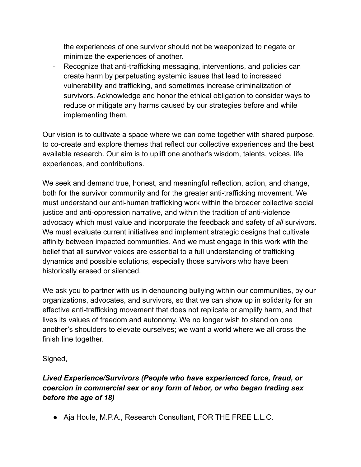the experiences of one survivor should not be weaponized to negate or minimize the experiences of another.

- Recognize that anti-trafficking messaging, interventions, and policies can create harm by perpetuating systemic issues that lead to increased vulnerability and trafficking, and sometimes increase criminalization of survivors. Acknowledge and honor the ethical obligation to consider ways to reduce or mitigate any harms caused by our strategies before and while implementing them.

Our vision is to cultivate a space where we can come together with shared purpose, to co-create and explore themes that reflect our collective experiences and the best available research. Our aim is to uplift one another's wisdom, talents, voices, life experiences, and contributions.

We seek and demand true, honest, and meaningful reflection, action, and change, both for the survivor community and for the greater anti-trafficking movement. We must understand our anti-human trafficking work within the broader collective social justice and anti-oppression narrative, and within the tradition of anti-violence advocacy which must value and incorporate the feedback and safety of *all* survivors. We must evaluate current initiatives and implement strategic designs that cultivate affinity between impacted communities. And we must engage in this work with the belief that all survivor voices are essential to a full understanding of trafficking dynamics and possible solutions, especially those survivors who have been historically erased or silenced.

We ask you to partner with us in denouncing bullying within our communities, by our organizations, advocates, and survivors, so that we can show up in solidarity for an effective anti-trafficking movement that does not replicate or amplify harm, and that lives its values of freedom and autonomy. We no longer wish to stand on one another's shoulders to elevate ourselves; we want a world where we all cross the finish line together.

# Signed,

# *Lived Experience/Survivors (People who have experienced force, fraud, or coercion in commercial sex or any form of labor, or who began trading sex before the age of 18)*

● Aja Houle, M.P.A., Research Consultant, FOR THE FREE L.L.C.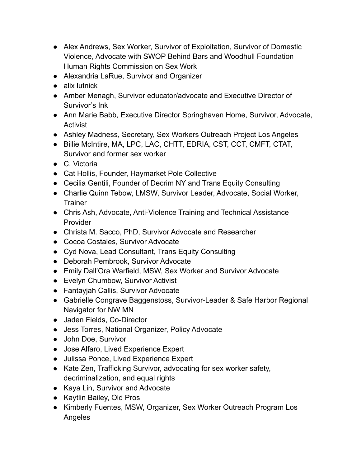- Alex Andrews, Sex Worker, Survivor of Exploitation, Survivor of Domestic Violence, Advocate with SWOP Behind Bars and Woodhull Foundation Human Rights Commission on Sex Work
- Alexandria LaRue, Survivor and Organizer
- alix lutnick
- Amber Menagh, Survivor educator/advocate and Executive Director of Survivor's Ink
- Ann Marie Babb, Executive Director Springhaven Home, Survivor, Advocate, Activist
- Ashley Madness, Secretary, Sex Workers Outreach Project Los Angeles
- Billie McIntire, MA, LPC, LAC, CHTT, EDRIA, CST, CCT, CMFT, CTAT, Survivor and former sex worker
- C. Victoria
- Cat Hollis, Founder, Haymarket Pole Collective
- Cecilia Gentili, Founder of Decrim NY and Trans Equity Consulting
- Charlie Quinn Tebow, LMSW, Survivor Leader, Advocate, Social Worker, **Trainer**
- Chris Ash, Advocate, Anti-Violence Training and Technical Assistance Provider
- Christa M. Sacco, PhD, Survivor Advocate and Researcher
- Cocoa Costales, Survivor Advocate
- Cyd Nova, Lead Consultant, Trans Equity Consulting
- Deborah Pembrook, Survivor Advocate
- Emily Dall'Ora Warfield, MSW, Sex Worker and Survivor Advocate
- Evelyn Chumbow, Survivor Activist
- Fantayjah Callis, Survivor Advocate
- Gabrielle Congrave Baggenstoss, Survivor-Leader & Safe Harbor Regional Navigator for NW MN
- Jaden Fields, Co-Director
- Jess Torres, National Organizer, Policy Advocate
- John Doe, Survivor
- Jose Alfaro, Lived Experience Expert
- Julissa Ponce, Lived Experience Expert
- Kate Zen, Trafficking Survivor, advocating for sex worker safety, decriminalization, and equal rights
- Kaya Lin, Survivor and Advocate
- Kaytlin Bailey, Old Pros
- Kimberly Fuentes, MSW, Organizer, Sex Worker Outreach Program Los Angeles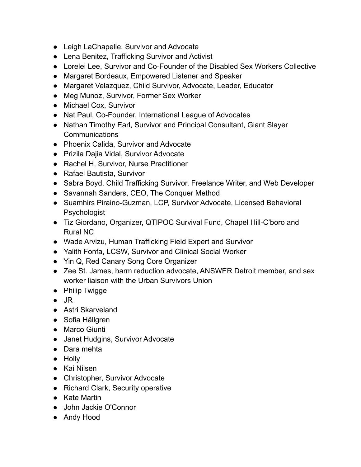- Leigh LaChapelle, Survivor and Advocate
- Lena Benitez, Trafficking Survivor and Activist
- Lorelei Lee, Survivor and Co-Founder of the Disabled Sex Workers Collective
- Margaret Bordeaux, Empowered Listener and Speaker
- Margaret Velazquez, Child Survivor, Advocate, Leader, Educator
- Meg Munoz, Survivor, Former Sex Worker
- Michael Cox, Survivor
- Nat Paul, Co-Founder, International League of Advocates
- Nathan Timothy Earl, Survivor and Principal Consultant, Giant Slayer **Communications**
- Phoenix Calida, Survivor and Advocate
- Prizila Dajia Vidal, Survivor Advocate
- Rachel H, Survivor, Nurse Practitioner
- Rafael Bautista, Survivor
- Sabra Boyd, Child Trafficking Survivor, Freelance Writer, and Web Developer
- Savannah Sanders, CEO, The Conquer Method
- Suamhirs Piraino-Guzman, LCP, Survivor Advocate, Licensed Behavioral **Psychologist**
- Tiz Giordano, Organizer, QTIPOC Survival Fund, Chapel Hill-C'boro and Rural NC
- Wade Arvizu, Human Trafficking Field Expert and Survivor
- Yalith Fonfa, LCSW, Survivor and Clinical Social Worker
- Yin Q, Red Canary Song Core Organizer
- Zee St. James, harm reduction advocate, ANSWER Detroit member, and sex worker liaison with the Urban Survivors Union
- Philip Twigge
- $\bullet$  JR
- Astri Skarveland
- Sofia Hällgren
- Marco Giunti
- Janet Hudgins, Survivor Advocate
- Dara mehta
- Holly
- Kai Nilsen
- Christopher, Survivor Advocate
- Richard Clark, Security operative
- Kate Martin
- John Jackie O'Connor
- Andy Hood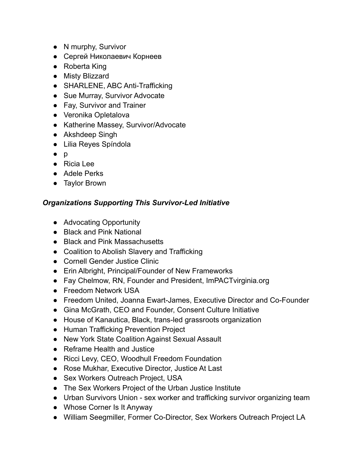- N murphy, Survivor
- Сергей Николаевич Корнеев
- Roberta King
- Misty Blizzard
- SHARLENE, ABC Anti-Trafficking
- Sue Murray, Survivor Advocate
- Fay, Survivor and Trainer
- Veronika Opletalova
- Katherine Massey, Survivor/Advocate
- Akshdeep Singh
- Lilia Reyes Spíndola
- p
- Ricia Lee
- Adele Perks
- Taylor Brown

### *Organizations Supporting This Survivor-Led Initiative*

- Advocating Opportunity
- Black and Pink National
- Black and Pink Massachusetts
- Coalition to Abolish Slavery and Trafficking
- Cornell Gender Justice Clinic
- Erin Albright, Principal/Founder of New Frameworks
- Fay Chelmow, RN, Founder and President, ImPACTvirginia.org
- Freedom Network USA
- Freedom United, Joanna Ewart-James, Executive Director and Co-Founder
- Gina McGrath, CEO and Founder, Consent Culture Initiative
- House of Kanautica, Black, trans-led grassroots organization
- Human Trafficking Prevention Project
- New York State Coalition Against Sexual Assault
- Reframe Health and Justice
- Ricci Levy, CEO, Woodhull Freedom Foundation
- Rose Mukhar, Executive Director, Justice At Last
- Sex Workers Outreach Project, USA
- The Sex Workers Project of the Urban Justice Institute
- Urban Survivors Union sex worker and trafficking survivor organizing team
- Whose Corner Is It Anyway
- William Seegmiller, Former Co-Director, Sex Workers Outreach Project LA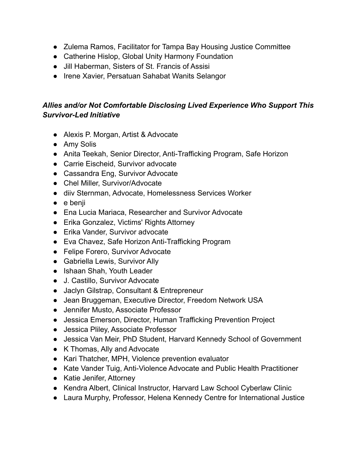- Zulema Ramos, Facilitator for Tampa Bay Housing Justice Committee
- Catherine Hislop, Global Unity Harmony Foundation
- Jill Haberman, Sisters of St. Francis of Assisi
- Irene Xavier, Persatuan Sahabat Wanits Selangor

# *Allies and/or Not Comfortable Disclosing Lived Experience Who Support This Survivor-Led Initiative*

- Alexis P. Morgan, Artist & Advocate
- Amy Solis
- Anita Teekah, Senior Director, Anti-Trafficking Program, Safe Horizon
- Carrie Eischeid, Survivor advocate
- Cassandra Eng, Survivor Advocate
- Chel Miller, Survivor/Advocate
- diiv Sternman, Advocate, Homelessness Services Worker
- e benji
- Ena Lucia Mariaca, Researcher and Survivor Advocate
- Erika Gonzalez, Victims' Rights Attorney
- Erika Vander, Survivor advocate
- Eva Chavez, Safe Horizon Anti-Trafficking Program
- Felipe Forero, Survivor Advocate
- Gabriella Lewis, Survivor Ally
- Ishaan Shah, Youth Leader
- J. Castillo, Survivor Advocate
- Jaclyn Gilstrap, Consultant & Entrepreneur
- Jean Bruggeman, Executive Director, Freedom Network USA
- Jennifer Musto, Associate Professor
- Jessica Emerson, Director, Human Trafficking Prevention Project
- Jessica Pliley, Associate Professor
- Jessica Van Meir, PhD Student, Harvard Kennedy School of Government
- K Thomas, Ally and Advocate
- Kari Thatcher, MPH, Violence prevention evaluator
- Kate Vander Tuig, Anti-Violence Advocate and Public Health Practitioner
- Katie Jenifer, Attorney
- Kendra Albert, Clinical Instructor, Harvard Law School Cyberlaw Clinic
- Laura Murphy, Professor, Helena Kennedy Centre for International Justice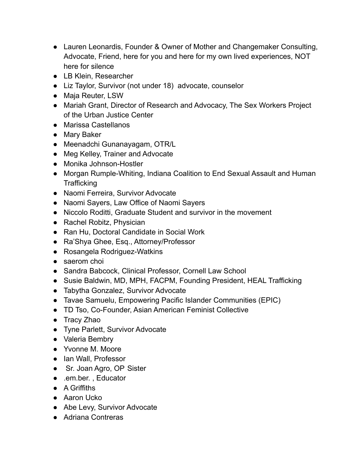- Lauren Leonardis, Founder & Owner of Mother and Changemaker Consulting, Advocate, Friend, here for you and here for my own lived experiences, NOT here for silence
- LB Klein, Researcher
- Liz Taylor, Survivor (not under 18) advocate, counselor
- Maja Reuter, LSW
- Mariah Grant, Director of Research and Advocacy, The Sex Workers Project of the Urban Justice Center
- Marissa Castellanos
- Mary Baker
- Meenadchi Gunanayagam, OTR/L
- Meg Kelley, Trainer and Advocate
- Monika Johnson-Hostler
- Morgan Rumple-Whiting, Indiana Coalition to End Sexual Assault and Human **Trafficking**
- Naomi Ferreira, Survivor Advocate
- Naomi Sayers, Law Office of Naomi Sayers
- Niccolo Roditti, Graduate Student and survivor in the movement
- Rachel Robitz, Physician
- Ran Hu, Doctoral Candidate in Social Work
- Ra'Shya Ghee, Esq., Attorney/Professor
- Rosangela Rodriguez-Watkins
- saerom choi
- Sandra Babcock, Clinical Professor, Cornell Law School
- Susie Baldwin, MD, MPH, FACPM, Founding President, HEAL Trafficking
- Tabytha Gonzalez, Survivor Advocate
- Tavae Samuelu, Empowering Pacific Islander Communities (EPIC)
- TD Tso, Co-Founder, Asian American Feminist Collective
- Tracy Zhao
- Tyne Parlett, Survivor Advocate
- Valeria Bembry
- Yvonne M. Moore
- Ian Wall, Professor
- Sr. Joan Agro, OP Sister
- .em.ber., Educator
- A Griffiths
- Aaron Ucko
- Abe Levy, Survivor Advocate
- Adriana Contreras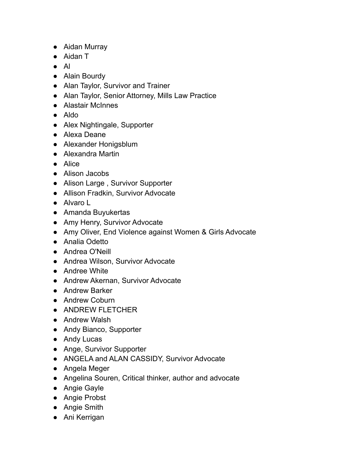- Aidan Murray
- Aidan T
- Al
- Alain Bourdy
- Alan Taylor, Survivor and Trainer
- Alan Taylor, Senior Attorney, Mills Law Practice
- Alastair McInnes
- Aldo
- Alex Nightingale, Supporter
- Alexa Deane
- Alexander Honigsblum
- Alexandra Martin
- Alice
- Alison Jacobs
- Alison Large, Survivor Supporter
- Allison Fradkin, Survivor Advocate
- Alvaro L
- Amanda Buyukertas
- Amy Henry, Survivor Advocate
- Amy Oliver, End Violence against Women & Girls Advocate
- Analia Odetto
- Andrea O'Neill
- Andrea Wilson, Survivor Advocate
- Andree White
- Andrew Akernan, Survivor Advocate
- Andrew Barker
- Andrew Coburn
- ANDREW FLETCHER
- Andrew Walsh
- Andy Bianco, Supporter
- Andy Lucas
- Ange, Survivor Supporter
- ANGELA and ALAN CASSIDY, Survivor Advocate
- Angela Meger
- Angelina Souren, Critical thinker, author and advocate
- Angie Gayle
- Angie Probst
- Angie Smith
- Ani Kerrigan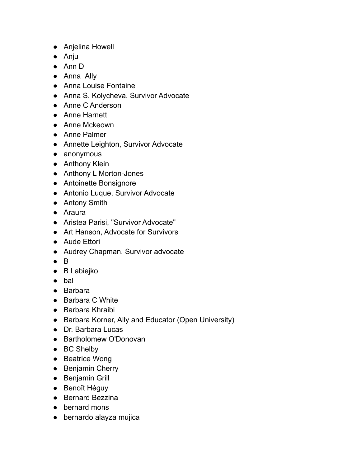- Anjelina Howell
- Anju
- Ann D
- Anna Ally
- Anna Louise Fontaine
- Anna S. Kolycheva, Survivor Advocate
- Anne C Anderson
- Anne Harnett
- Anne Mckeown
- Anne Palmer
- Annette Leighton, Survivor Advocate
- anonymous
- Anthony Klein
- Anthony L Morton-Jones
- Antoinette Bonsignore
- Antonio Luque, Survivor Advocate
- Antony Smith
- Araura
- Aristea Parisi, "Survivor Advocate"
- Art Hanson, Advocate for Survivors
- Aude Ettori
- Audrey Chapman, Survivor advocate
- $\bullet$  B
- B Labiejko
- bal
- Barbara
- Barbara C White
- Barbara Khraibi
- Barbara Korner, Ally and Educator (Open University)
- Dr. Barbara Lucas
- Bartholomew O'Donovan
- BC Shelby
- Beatrice Wong
- Benjamin Cherry
- Benjamin Grill
- Benoît Héguy
- Bernard Bezzina
- bernard mons
- bernardo alayza mujica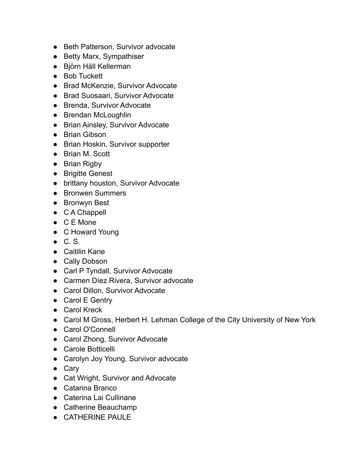- Beth Patterson, Survivor advocate
- Betty Marx, Sympathiser
- Björn Häll Kellerman
- Bob Tuckett
- Brad McKenzie, Survivor Advocate
- Brad Suosaari, Survivor Advocate
- Brenda, Survivor Advocate
- Brendan McLoughlin
- Brian Ainsley, Survivor Advocate
- Brian Gibson
- Brian Hoskin, Survivor supporter
- Brian M. Scott
- Brian Rigby
- Brigitte Genest
- brittany houston, Survivor Advocate
- Bronwen Summers
- Bronwyn Best
- C A Chappell
- C E Mone
- C Howard Young
- $\bullet$  C.S.
- Caitilin Kane
- Cally Dobson
- Carl P Tyndall, Survivor Advocate
- Carmen Díez Rivera, Survivor advocate
- Carol Dillon, Survivor Advocate
- Carol E Gentry
- Carol Kreck
- Carol M Gross, Herbert H. Lehman College of the City University of New York
- Carol O'Connell
- Carol Zhong, Survivor Advocate
- Carole Botticelli
- Carolyn Joy Young, Survivor advocate
- Cary
- Cat Wright, Survivor and Advocate
- Catarina Branco
- Caterina Lai Cullinane
- Catherine Beauchamp
- CATHERINE PAULE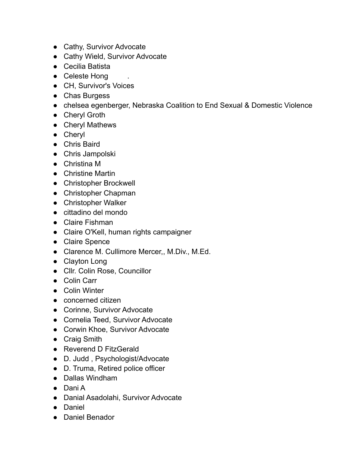- Cathy, Survivor Advocate
- Cathy Wield, Survivor Advocate
- Cecilia Batista
- Celeste Hong
- CH, Survivor's Voices
- Chas Burgess
- chelsea egenberger, Nebraska Coalition to End Sexual & Domestic Violence
- Cheryl Groth
- Cheryl Mathews
- Cheryl
- Chris Baird
- Chris Jampolski
- Christina M
- Christine Martin
- Christopher Brockwell
- Christopher Chapman
- Christopher Walker
- cittadino del mondo
- Claire Fishman
- Claire O'Kell, human rights campaigner
- Claire Spence
- Clarence M. Cullimore Mercer,, M.Div., M.Ed.
- Clayton Long
- Cllr. Colin Rose, Councillor
- Colin Carr
- Colin Winter
- concerned citizen
- Corinne, Survivor Advocate
- Cornelia Teed, Survivor Advocate
- Corwin Khoe, Survivor Advocate
- Craig Smith
- Reverend D FitzGerald
- D. Judd , Psychologist/Advocate
- D. Truma, Retired police officer
- Dallas Windham
- Dani A
- Danial Asadolahi, Survivor Advocate
- Daniel
- Daniel Benador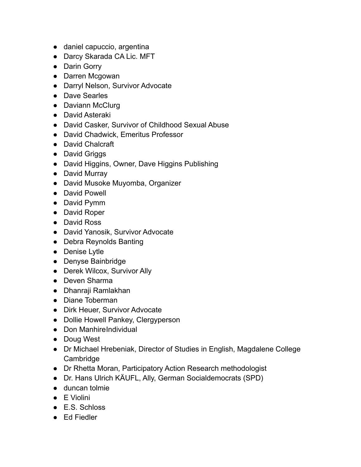- daniel capuccio, argentina
- Darcy Skarada CA Lic. MFT
- Darin Gorry
- Darren Mcgowan
- Darryl Nelson, Survivor Advocate
- Dave Searles
- Daviann McClurg
- David Asteraki
- David Casker, Survivor of Childhood Sexual Abuse
- David Chadwick, Emeritus Professor
- David Chalcraft
- David Griggs
- David Higgins, Owner, Dave Higgins Publishing
- David Murray
- David Musoke Muyomba, Organizer
- David Powell
- David Pymm
- David Roper
- David Ross
- David Yanosik, Survivor Advocate
- Debra Reynolds Banting
- Denise Lytle
- Denyse Bainbridge
- Derek Wilcox, Survivor Ally
- Deven Sharma
- Dhanraji Ramlakhan
- Diane Toberman
- Dirk Heuer, Survivor Advocate
- Dollie Howell Pankey, Clergyperson
- Don ManhireIndividual
- Doug West
- Dr Michael Hrebeniak, Director of Studies in English, Magdalene College Cambridge
- Dr Rhetta Moran, Participatory Action Research methodologist
- Dr. Hans Ulrich KÄUFL, Ally, German Socialdemocrats (SPD)
- duncan tolmie
- E Violini
- E.S. Schloss
- Ed Fiedler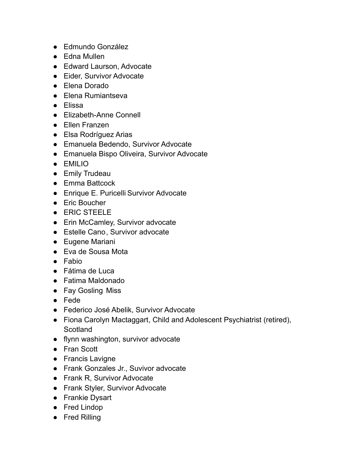- Edmundo González
- Edna Mullen
- Edward Laurson, Advocate
- Eider, Survivor Advocate
- Elena Dorado
- Elena Rumiantseva
- Elissa
- Elizabeth-Anne Connell
- Ellen Franzen
- Elsa Rodríguez Arias
- Emanuela Bedendo, Survivor Advocate
- Emanuela Bispo Oliveira, Survivor Advocate
- EMILIO
- Emily Trudeau
- Emma Battcock
- Enrique E. Puricelli Survivor Advocate
- Eric Boucher
- ERIC STEELE
- Erin McCamley, Survivor advocate
- Estelle Cano, Survivor advocate
- Eugene Mariani
- Eva de Sousa Mota
- Fabio
- Fátima de Luca
- Fatima Maldonado
- Fay Gosling Miss
- Fede
- Federico José Abelik, Survivor Advocate
- Fiona Carolyn Mactaggart, Child and Adolescent Psychiatrist (retired), **Scotland**
- flynn washington, survivor advocate
- Fran Scott
- Francis Lavigne
- Frank Gonzales Jr., Suvivor advocate
- Frank R, Survivor Advocate
- Frank Styler, Survivor Advocate
- Frankie Dysart
- Fred Lindop
- Fred Rilling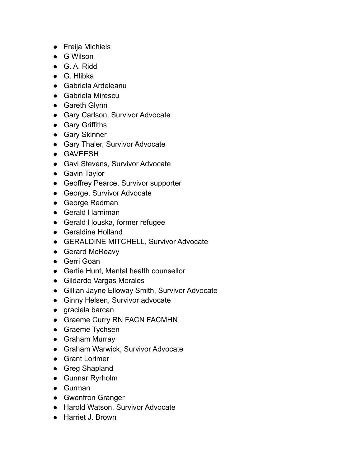- Freija Michiels
- G Wilson
- G. A. Ridd
- G. Hlibka
- Gabriela Ardeleanu
- Gabriela Mirescu
- Gareth Glynn
- Gary Carlson, Survivor Advocate
- Gary Griffiths
- Gary Skinner
- Gary Thaler, Survivor Advocate
- GAVEESH
- Gavi Stevens, Survivor Advocate
- Gavin Taylor
- Geoffrey Pearce, Survivor supporter
- George, Survivor Advocate
- George Redman
- Gerald Harniman
- Gerald Houska, former refugee
- Geraldine Holland
- GERALDINE MITCHELL, Survivor Advocate
- Gerard McReavy
- Gerri Goan
- Gertie Hunt, Mental health counsellor
- Gildardo Vargas Morales
- Gillian Jayne Elloway Smith, Survivor Advocate
- Ginny Helsen, Survivor advocate
- graciela barcan
- Graeme Curry RN FACN FACMHN
- Graeme Tychsen
- Graham Murray
- Graham Warwick, Survivor Advocate
- Grant Lorimer
- Greg Shapland
- Gunnar Ryrholm
- Gurman
- Gwenfron Granger
- Harold Watson, Survivor Advocate
- Harriet J. Brown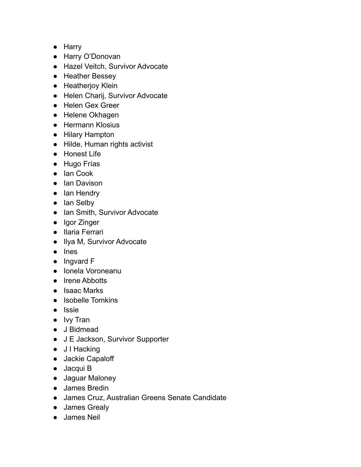- Harry
- Harry O'Donovan
- Hazel Veitch, Survivor Advocate
- Heather Bessey
- Heatherjoy Klein
- Helen Charij, Survivor Advocate
- Helen Gex Greer
- Helene Okhagen
- Hermann Klosius
- Hilary Hampton
- Hilde, Human rights activist
- Honest Life
- Hugo Frías
- Ian Cook
- Ian Davison
- Ian Hendry
- Ian Selby
- Ian Smith, Survivor Advocate
- Igor Zinger
- Ilaria Ferrari
- Ilya M, Survivor Advocate
- Ines
- Ingvard F
- Ionela Voroneanu
- Irene Abbotts
- Isaac Marks
- Isobelle Tomkins
- Issie
- Ivy Tran
- J Bidmead
- J E Jackson, Survivor Supporter
- J I Hacking
- Jackie Capaloff
- Jacqui B
- Jaguar Maloney
- James Bredin
- James Cruz, Australian Greens Senate Candidate
- James Grealy
- James Neil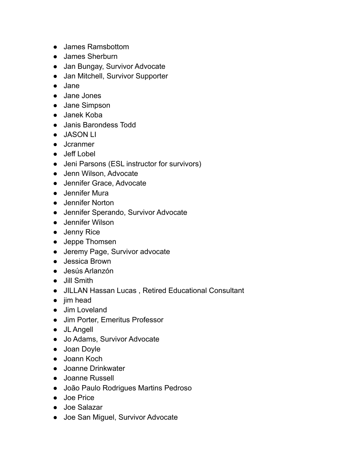- James Ramsbottom
- James Sherburn
- Jan Bungay, Survivor Advocate
- Jan Mitchell, Survivor Supporter
- Jane
- Jane Jones
- Jane Simpson
- Janek Koba
- Janis Barondess Todd
- JASON LI
- Jcranmer
- Jeff Lobel
- Jeni Parsons (ESL instructor for survivors)
- Jenn Wilson, Advocate
- Jennifer Grace, Advocate
- Jennifer Mura
- Jennifer Norton
- Jennifer Sperando, Survivor Advocate
- Jennifer Wilson
- Jenny Rice
- Jeppe Thomsen
- Jeremy Page, Survivor advocate
- Jessica Brown
- Jesús Arlanzón
- Jill Smith
- JILLAN Hassan Lucas , Retired Educational Consultant
- jim head
- Jim Loveland
- Jim Porter, Emeritus Professor
- JL Angell
- Jo Adams, Survivor Advocate
- Joan Doyle
- Joann Koch
- Joanne Drinkwater
- Joanne Russell
- João Paulo Rodrigues Martins Pedroso
- Joe Price
- Joe Salazar
- Joe San Miguel, Survivor Advocate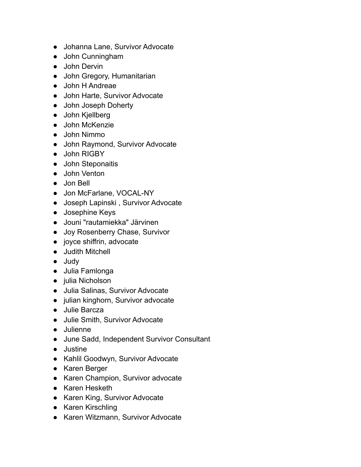- Johanna Lane, Survivor Advocate
- John Cunningham
- John Dervin
- John Gregory, Humanitarian
- John H Andreae
- John Harte, Survivor Advocate
- John Joseph Doherty
- John Kjellberg
- John McKenzie
- John Nimmo
- John Raymond, Survivor Advocate
- John RIGBY
- John Steponaitis
- John Venton
- Jon Bell
- Jon McFarlane, VOCAL-NY
- Joseph Lapinski , Survivor Advocate
- Josephine Keys
- Jouni "rautamiekka" Järvinen
- Joy Rosenberry Chase, Survivor
- joyce shiffrin, advocate
- Judith Mitchell
- Judy
- Julia Famlonga
- julia Nicholson
- Julia Salinas, Survivor Advocate
- julian kinghorn, Survivor advocate
- Julie Barcza
- Julie Smith, Survivor Advocate
- Julienne
- June Sadd, Independent Survivor Consultant
- Justine
- Kahlil Goodwyn, Survivor Advocate
- Karen Berger
- Karen Champion, Survivor advocate
- Karen Hesketh
- Karen King, Survivor Advocate
- Karen Kirschling
- Karen Witzmann, Survivor Advocate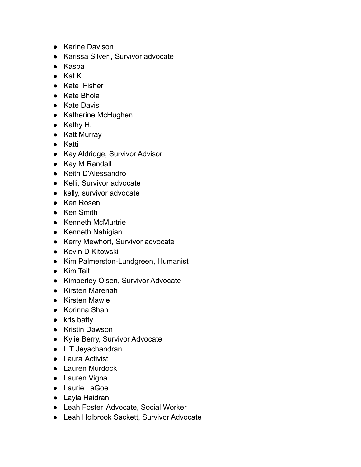- Karine Davison
- Karissa Silver , Survivor advocate
- Kaspa
- Kat K
- Kate Fisher
- Kate Bhola
- Kate Davis
- Katherine McHughen
- Kathy H.
- Katt Murray
- Katti
- Kay Aldridge, Survivor Advisor
- Kay M Randall
- Keith D'Alessandro
- Kelli, Survivor advocate
- kelly, survivor advocate
- Ken Rosen
- Ken Smith
- Kenneth McMurtrie
- Kenneth Nahigian
- Kerry Mewhort, Survivor advocate
- Kevin D Kitowski
- Kim Palmerston-Lundgreen, Humanist
- Kim Tait
- Kimberley Olsen, Survivor Advocate
- Kirsten Marenah
- Kirsten Mawle
- Korinna Shan
- kris batty
- Kristin Dawson
- Kylie Berry, Survivor Advocate
- L T Jeyachandran
- Laura Activist
- Lauren Murdock
- Lauren Vigna
- Laurie LaGoe
- Layla Haidrani
- Leah Foster Advocate, Social Worker
- Leah Holbrook Sackett, Survivor Advocate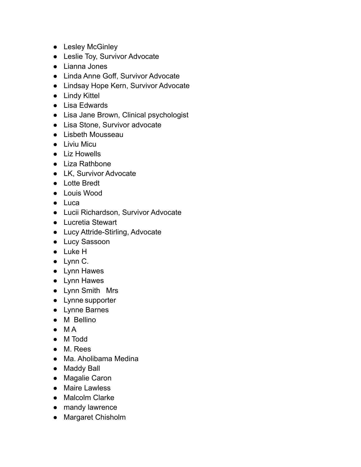- Lesley McGinley
- Leslie Toy, Survivor Advocate
- Lianna Jones
- Linda Anne Goff, Survivor Advocate
- Lindsay Hope Kern, Survivor Advocate
- Lindy Kittel
- Lisa Edwards
- Lisa Jane Brown, Clinical psychologist
- Lisa Stone, Survivor advocate
- Lisbeth Mousseau
- Liviu Micu
- Liz Howells
- Liza Rathbone
- LK, Survivor Advocate
- Lotte Bredt
- Louis Wood
- Luca
- Lucii Richardson, Survivor Advocate
- Lucretia Stewart
- Lucy Attride-Stirling, Advocate
- Lucy Sassoon
- Luke H
- Lynn C.
- Lynn Hawes
- Lynn Hawes
- Lynn Smith Mrs
- Lynne supporter
- Lynne Barnes
- M Bellino
- M A
- M Todd
- M. Rees
- Ma. Aholibama Medina
- Maddy Ball
- Magalie Caron
- Maire Lawless
- Malcolm Clarke
- mandy lawrence
- Margaret Chisholm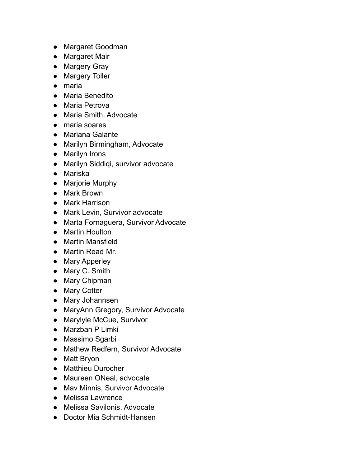- Margaret Goodman
- Margaret Mair
- Margery Gray
- Margery Toller
- maria
- Maria Benedito
- Maria Petrova
- Maria Smith, Advocate
- maria soares
- Mariana Galante
- Marilyn Birmingham, Advocate
- Marilyn Irons
- Marilyn Siddiqi, survivor advocate
- Mariska
- Marjorie Murphy
- Mark Brown
- Mark Harrison
- Mark Levin, Survivor advocate
- Marta Fornaguera, Survivor Advocate
- Martin Houlton
- Martin Mansfield
- Martin Read Mr.
- Mary Apperley
- Mary C. Smith
- Mary Chipman
- Mary Cotter
- Mary Johannsen
- MaryAnn Gregory, Survivor Advocate
- Marylyle McCue, Survivor
- Marzban P Limki
- Massimo Sgarbi
- Mathew Redfern, Survivor Advocate
- Matt Bryon
- Matthieu Durocher
- Maureen ONeal, advocate
- Mav Minnis, Survivor Advocate
- Melissa Lawrence
- Melissa Savilonis, Advocate
- Doctor Mia Schmidt-Hansen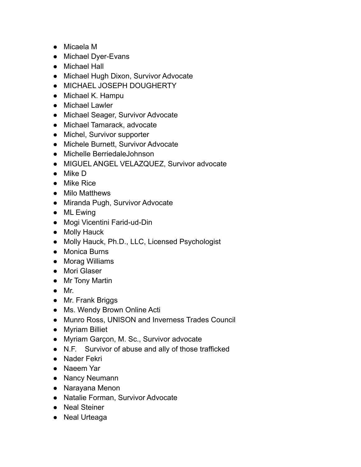- Micaela M
- Michael Dyer-Evans
- Michael Hall
- Michael Hugh Dixon, Survivor Advocate
- MICHAEL JOSEPH DOUGHERTY
- Michael K. Hampu
- Michael Lawler
- Michael Seager, Survivor Advocate
- Michael Tamarack, advocate
- Michel, Survivor supporter
- Michele Burnett, Survivor Advocate
- Michelle BerriedaleJohnson
- MIGUEL ANGEL VELAZQUEZ, Survivor advocate
- Mike D
- Mike Rice
- Milo Matthews
- Miranda Pugh, Survivor Advocate
- ML Ewing
- Mogi Vicentini Farid-ud-Din
- Molly Hauck
- Molly Hauck, Ph.D., LLC, Licensed Psychologist
- Monica Burns
- Morag Williams
- Mori Glaser
- Mr Tony Martin
- Mr.
- Mr. Frank Briggs
- Ms. Wendy Brown Online Acti
- Munro Ross, UNISON and Inverness Trades Council
- Myriam Billiet
- Myriam Garçon, M. Sc., Survivor advocate
- N.F. Survivor of abuse and ally of those trafficked
- Nader Fekri
- Naeem Yar
- Nancy Neumann
- Narayana Menon
- Natalie Forman, Survivor Advocate
- Neal Steiner
- Neal Urteaga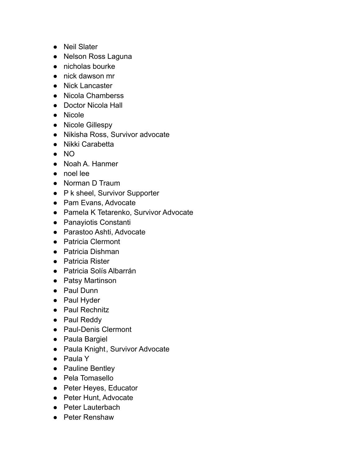- Neil Slater
- Nelson Ross Laguna
- nicholas bourke
- nick dawson mr
- Nick Lancaster
- Nicola Chamberss
- Doctor Nicola Hall
- Nicole
- Nicole Gillespy
- Nikisha Ross, Survivor advocate
- Nikki Carabetta
- NO
- Noah A. Hanmer
- noel lee
- Norman D Traum
- P k sheel, Survivor Supporter
- Pam Evans, Advocate
- Pamela K Tetarenko, Survivor Advocate
- Panayiotis Constanti
- Parastoo Ashti, Advocate
- Patricia Clermont
- Patricia Dishman
- Patricia Rister
- Patricia Solís Albarrán
- Patsy Martinson
- Paul Dunn
- Paul Hyder
- Paul Rechnitz
- Paul Reddy
- Paul-Denis Clermont
- Paula Bargiel
- Paula Knight, Survivor Advocate
- Paula Y
- Pauline Bentley
- Pela Tomasello
- Peter Heyes, Educator
- Peter Hunt, Advocate
- Peter Lauterbach
- Peter Renshaw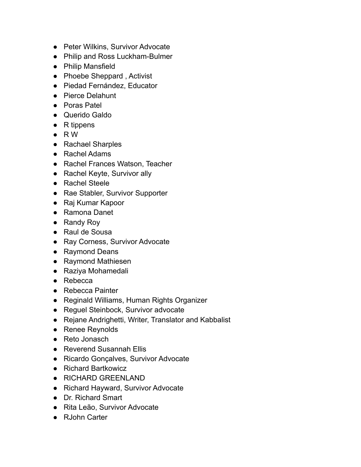- Peter Wilkins, Survivor Advocate
- Philip and Ross Luckham-Bulmer
- Philip Mansfield
- Phoebe Sheppard, Activist
- Piedad Fernández, Educator
- Pierce Delahunt
- Poras Patel
- Querido Galdo
- R tippens
- $\bullet$  RW
- Rachael Sharples
- Rachel Adams
- Rachel Frances Watson, Teacher
- Rachel Keyte, Survivor ally
- Rachel Steele
- Rae Stabler, Survivor Supporter
- Raj Kumar Kapoor
- Ramona Danet
- Randy Roy
- Raul de Sousa
- Ray Corness, Survivor Advocate
- Raymond Deans
- Raymond Mathiesen
- Raziya Mohamedali
- Rebecca
- Rebecca Painter
- Reginald Williams, Human Rights Organizer
- Reguel Steinbock, Survivor advocate
- Rejane Andrighetti, Writer, Translator and Kabbalist
- Renee Reynolds
- Reto Jonasch
- Reverend Susannah Ellis
- Ricardo Gonçalves, Survivor Advocate
- Richard Bartkowicz
- RICHARD GREENLAND
- Richard Hayward, Survivor Advocate
- Dr. Richard Smart
- Rita Leão, Survivor Advocate
- RJohn Carter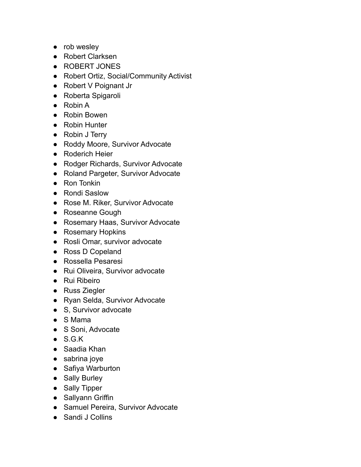- rob wesley
- Robert Clarksen
- ROBERT JONES
- Robert Ortiz, Social/Community Activist
- Robert V Poignant Jr
- Roberta Spigaroli
- Robin A
- Robin Bowen
- Robin Hunter
- Robin J Terry
- Roddy Moore, Survivor Advocate
- Roderich Heier
- Rodger Richards, Survivor Advocate
- Roland Pargeter, Survivor Advocate
- Ron Tonkin
- Rondi Saslow
- Rose M. Riker, Survivor Advocate
- Roseanne Gough
- Rosemary Haas, Survivor Advocate
- Rosemary Hopkins
- Rosli Omar, survivor advocate
- Ross D Copeland
- Rossella Pesaresi
- Rui Oliveira, Survivor advocate
- Rui Ribeiro
- Russ Ziegler
- Ryan Selda, Survivor Advocate
- S, Survivor advocate
- S Mama
- S Soni, Advocate
- S.G.K
- Saadia Khan
- sabrina joye
- Safiya Warburton
- Sally Burley
- Sally Tipper
- Sallyann Griffin
- Samuel Pereira, Survivor Advocate
- Sandi J Collins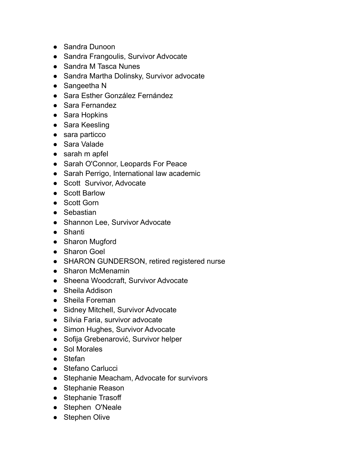- Sandra Dunoon
- Sandra Frangoulis, Survivor Advocate
- Sandra M Tasca Nunes
- Sandra Martha Dolinsky, Survivor advocate
- Sangeetha N
- Sara Esther González Fernández
- Sara Fernandez
- Sara Hopkins
- Sara Keesling
- sara particco
- Sara Valade
- sarah m apfel
- Sarah O'Connor, Leopards For Peace
- Sarah Perrigo, International law academic
- Scott Survivor, Advocate
- Scott Barlow
- Scott Gorn
- Sebastian
- Shannon Lee, Survivor Advocate
- Shanti
- Sharon Mugford
- Sharon Goel
- SHARON GUNDERSON, retired registered nurse
- Sharon McMenamin
- Sheena Woodcraft, Survivor Advocate
- Sheila Addison
- Sheila Foreman
- Sidney Mitchell, Survivor Advocate
- Sílvia Faria, survivor advocate
- Simon Hughes, Survivor Advocate
- Sofija Grebenarović, Survivor helper
- Sol Morales
- Stefan
- Stefano Carlucci
- Stephanie Meacham, Advocate for survivors
- Stephanie Reason
- Stephanie Trasoff
- Stephen O'Neale
- Stephen Olive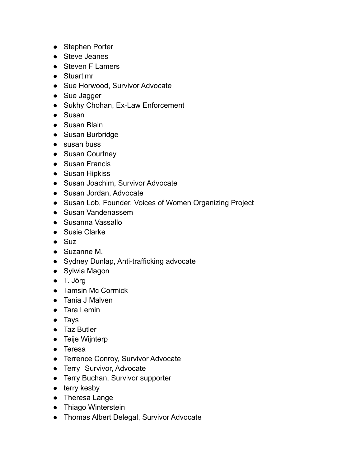- Stephen Porter
- Steve Jeanes
- Steven F Lamers
- Stuart mr
- Sue Horwood, Survivor Advocate
- Sue Jagger
- Sukhy Chohan, Ex-Law Enforcement
- Susan
- Susan Blain
- Susan Burbridge
- susan buss
- Susan Courtney
- Susan Francis
- Susan Hipkiss
- Susan Joachim, Survivor Advocate
- Susan Jordan, Advocate
- Susan Lob, Founder, Voices of Women Organizing Project
- Susan Vandenassem
- Susanna Vassallo
- Susie Clarke
- $\bullet$  Suz
- Suzanne M.
- Sydney Dunlap, Anti-trafficking advocate
- Sylwia Magon
- T. Jörg
- Tamsin Mc Cormick
- Tania J Malven
- Tara Lemin
- Tays
- Taz Butler
- Teije Wijnterp
- Teresa
- Terrence Conroy, Survivor Advocate
- Terry Survivor, Advocate
- Terry Buchan, Survivor supporter
- terry kesby
- Theresa Lange
- Thiago Winterstein
- Thomas Albert Delegal, Survivor Advocate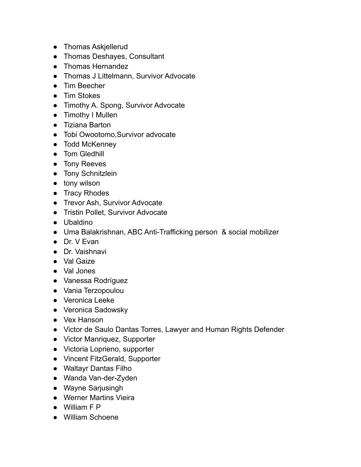- Thomas Askjellerud
- Thomas Deshayes, Consultant
- Thomas Hernandez
- Thomas J Littelmann, Survivor Advocate
- Tim Beecher
- Tim Stokes
- Timothy A. Spong, Survivor Advocate
- Timothy I Mullen
- Tiziana Barton
- Tobi Owootomo, Survivor advocate
- Todd McKenney
- Tom Gledhill
- Tony Reeves
- Tony Schnitzlein
- tony wilson
- Tracy Rhodes
- Trevor Ash, Survivor Advocate
- Tristin Pollet, Survivor Advocate
- Ubaldino
- Uma Balakrishnan, ABC Anti-Trafficking person & social mobilizer
- Dr. V Evan
- Dr. Vaishnavi
- Val Gaize
- Val Jones
- Vanessa Rodríguez
- Vania Terzopoulou
- Veronica Leeke
- Veronica Sadowsky
- Vex Hanson
- Victor de Saulo Dantas Torres, Lawyer and Human Rights Defender
- Victor Manriquez, Supporter
- Victoria Loprieno, supporter
- Vincent FitzGerald, Supporter
- Waltayr Dantas Filho
- Wanda Van-der-Zyden
- Wayne Sarjusingh
- Werner Martins Vieira
- William F P
- William Schoene